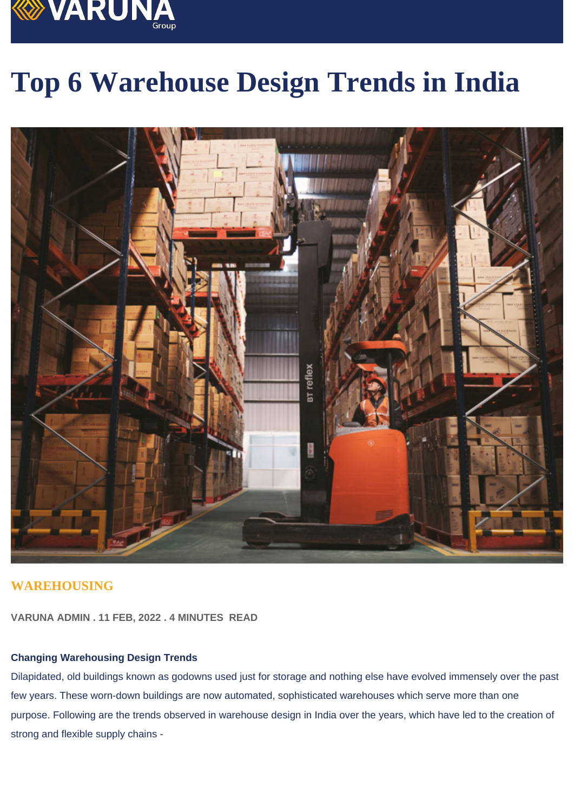# Top 6 Warehouse Design Trends in India

### WAREHOUSING

VARUNA ADMIN . 11 FEB, 2022 . 4 MINUTES READ

#### Changing Warehousing Design Trends

Dilapidated, old buildings known as godowns used just for storage and nothing else have evolved immensely over the past few years. These worn-down buildings are now automated, sophisticated warehouses which serve more than one purpose. Following are the trends observed in warehouse design in India over the years, which have led to the creation of strong and flexible supply chains -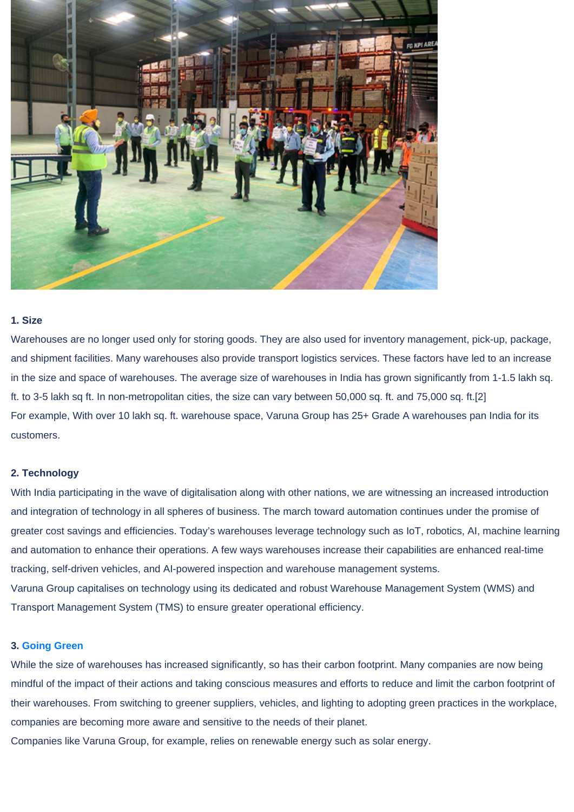#### 1. Size

Warehouses are no longer used only for storing goods. They are also used for inventory management, pick-up, package, and shipment facilities. Many warehouses also provide transport logistics services. These factors have led to an increase in the size and space of warehouses. The average size of warehouses in India has grown significantly from 1-1.5 lakh sq. ft. to 3-5 lakh sq ft. In non-metropolitan cities, the size can vary between 50,000 sq. ft. and 75,000 sq. ft.[2] For example, With over 10 lakh sq. ft. warehouse space, Varuna Group has 25+ Grade A warehouses pan India for its customers.

#### 2. Technology

With India participating in the wave of digitalisation along with other nations, we are witnessing an increased introduction and integration of technology in all spheres of business. The march toward automation continues under the promise of greater cost savings and efficiencies. Today's warehouses leverage technology such as IoT, robotics, AI, machine learning and automation to enhance their operations. A few ways warehouses increase their capabilities are enhanced real-time tracking, self-driven vehicles, and AI-powered inspection and warehouse management systems. Varuna Group capitalises on technology using its dedicated and robust Warehouse Management System (WMS) and Transport Management System (TMS) to ensure greater operational efficiency.

#### 3. [Going Green](https://varuna.net/insights/towards-a-sustainable-future-reducing-warehouse-carbon-footprint1)

While the size of warehouses has increased significantly, so has their carbon footprint. Many companies are now being mindful of the impact of their actions and taking conscious measures and efforts to reduce and limit the carbon footprint of their warehouses. From switching to greener suppliers, vehicles, and lighting to adopting green practices in the workplace, companies are becoming more aware and sensitive to the needs of their planet.

Companies like Varuna Group, for example, relies on renewable energy such as solar energy.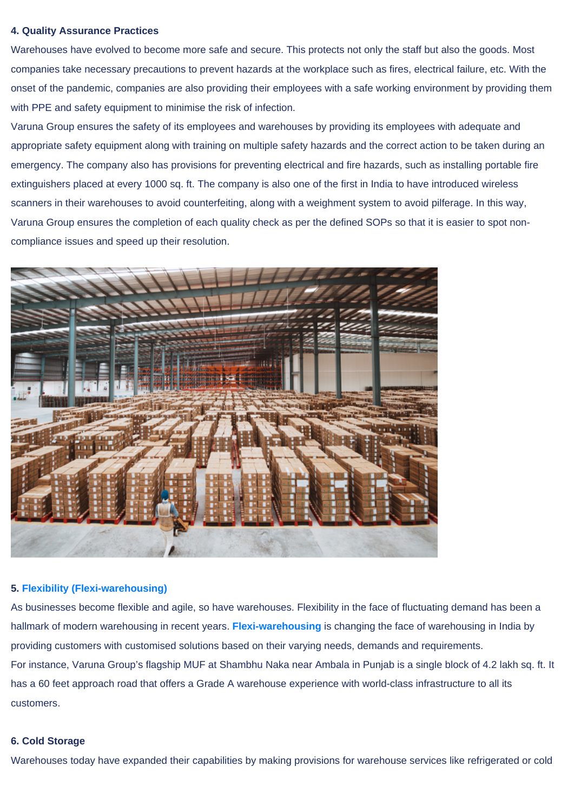#### 4. Quality Assurance Practices

Warehouses have evolved to become more safe and secure. This protects not only the staff but also the goods. Most companies take necessary precautions to prevent hazards at the workplace such as fires, electrical failure, etc. With the onset of the pandemic, companies are also providing their employees with a safe working environment by providing them with PPE and safety equipment to minimise the risk of infection.

Varuna Group ensures the safety of its employees and warehouses by providing its employees with adequate and appropriate safety equipment along with training on multiple safety hazards and the correct action to be taken during an emergency. The company also has provisions for preventing electrical and fire hazards, such as installing portable fire extinguishers placed at every 1000 sq. ft. The company is also one of the first in India to have introduced wireless scanners in their warehouses to avoid counterfeiting, along with a weighment system to avoid pilferage. In this way, Varuna Group ensures the completion of each quality check as per the defined SOPs so that it is easier to spot noncompliance issues and speed up their resolution.

#### 5. [Flexibility \(Flexi-warehousing\)](https://varuna.net/insights/flexible-warehousing-the-future-of-supply-chain)

As businesses become flexible and agile, so have warehouses. Flexibility in the face of fluctuating demand has been a hallmark of modern warehousing in recent years. [Flexi-warehousing](https://varuna.net/insights/flexible-warehousing-the-future-of-supply-chain) is changing the face of warehousing in India by providing customers with customised solutions based on their varying needs, demands and requirements. For instance, Varuna Group's flagship MUF at Shambhu Naka near Ambala in Punjab is a single block of 4.2 lakh sq. ft. It has a 60 feet approach road that offers a Grade A warehouse experience with world-class infrastructure to all its customers.

#### 6. Cold Storage

Warehouses today have expanded their capabilities by making provisions for warehouse services like refrigerated or cold